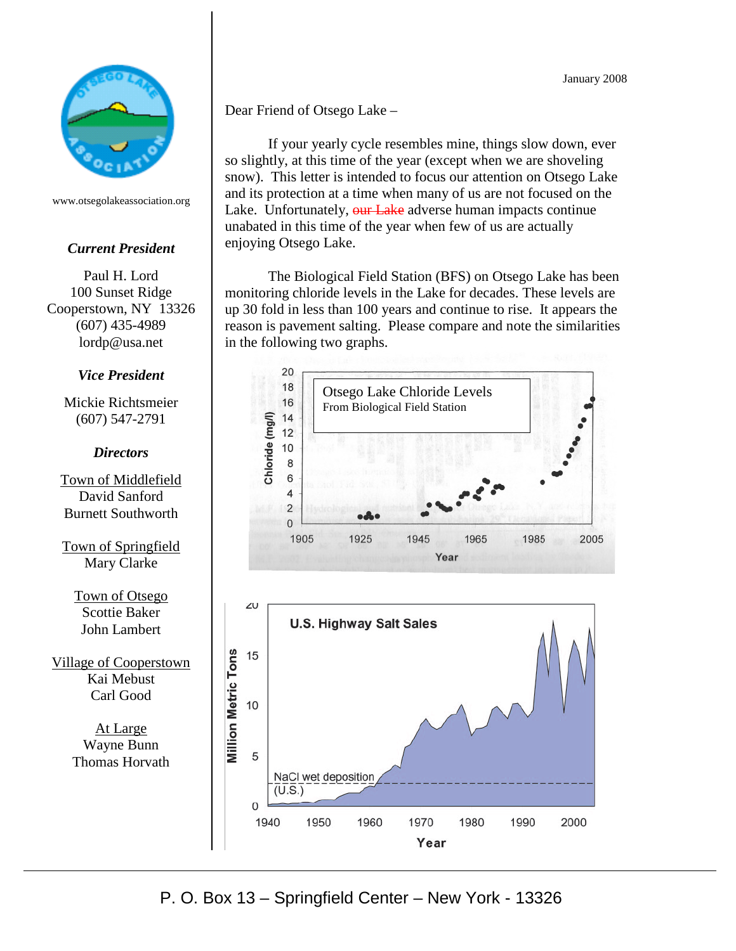

www.otsegolakeassociation.org

## *Current President*

Paul H. Lord 100 Sunset Ridge Cooperstown, NY 13326 (607) 435-4989 lordp@usa.net

## *Vice President*

Mickie Richtsmeier (607) 547-2791

## *Directors*

Town of Middlefield David Sanford Burnett Southworth

Town of Springfield Mary Clarke

Town of Otsego Scottie Baker John Lambert

Village of Cooperstown Kai Mebust Carl Good

> At Large Wayne Bunn Thomas Horvath

Dear Friend of Otsego Lake –

If your yearly cycle resembles mine, things slow down, ever so slightly, at this time of the year (except when we are shoveling snow). This letter is intended to focus our attention on Otsego Lake and its protection at a time when many of us are not focused on the Lake. Unfortunately, our Lake adverse human impacts continue unabated in this time of the year when few of us are actually enjoying Otsego Lake.

The Biological Field Station (BFS) on Otsego Lake has been monitoring chloride levels in the Lake for decades. These levels are up 30 fold in less than 100 years and continue to rise. It appears the reason is pavement salting. Please compare and note the similarities in the following two graphs.



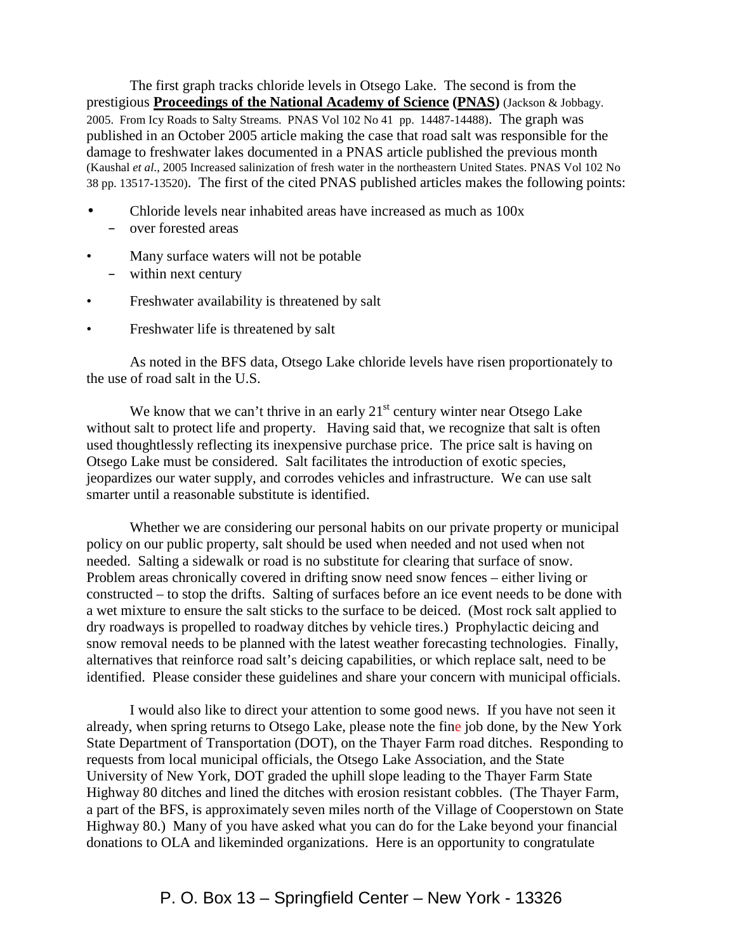The first graph tracks chloride levels in Otsego Lake. The second is from the prestigious **Proceedings of the National Academy of Science (PNAS)** (Jackson & Jobbagy. 2005. From Icy Roads to Salty Streams. PNAS Vol 102 No 41 pp. 14487-14488). The graph was published in an October 2005 article making the case that road salt was responsible for the damage to freshwater lakes documented in a PNAS article published the previous month (Kaushal *et al*., 2005 Increased salinization of fresh water in the northeastern United States. PNAS Vol 102 No 38 pp. 13517-13520). The first of the cited PNAS published articles makes the following points:

- Chloride levels near inhabited areas have increased as much as 100x
	- over forested areas
- Many surface waters will not be potable – within next century
- Freshwater availability is threatened by salt
- Freshwater life is threatened by salt

As noted in the BFS data, Otsego Lake chloride levels have risen proportionately to the use of road salt in the U.S.

We know that we can't thrive in an early  $21<sup>st</sup>$  century winter near Otsego Lake without salt to protect life and property. Having said that, we recognize that salt is often used thoughtlessly reflecting its inexpensive purchase price. The price salt is having on Otsego Lake must be considered. Salt facilitates the introduction of exotic species, jeopardizes our water supply, and corrodes vehicles and infrastructure. We can use salt smarter until a reasonable substitute is identified.

Whether we are considering our personal habits on our private property or municipal policy on our public property, salt should be used when needed and not used when not needed. Salting a sidewalk or road is no substitute for clearing that surface of snow. Problem areas chronically covered in drifting snow need snow fences – either living or constructed – to stop the drifts. Salting of surfaces before an ice event needs to be done with a wet mixture to ensure the salt sticks to the surface to be deiced. (Most rock salt applied to dry roadways is propelled to roadway ditches by vehicle tires.) Prophylactic deicing and snow removal needs to be planned with the latest weather forecasting technologies. Finally, alternatives that reinforce road salt's deicing capabilities, or which replace salt, need to be identified. Please consider these guidelines and share your concern with municipal officials.

I would also like to direct your attention to some good news. If you have not seen it already, when spring returns to Otsego Lake, please note the fine job done, by the New York State Department of Transportation (DOT), on the Thayer Farm road ditches. Responding to requests from local municipal officials, the Otsego Lake Association, and the State University of New York, DOT graded the uphill slope leading to the Thayer Farm State Highway 80 ditches and lined the ditches with erosion resistant cobbles. (The Thayer Farm, a part of the BFS, is approximately seven miles north of the Village of Cooperstown on State Highway 80.) Many of you have asked what you can do for the Lake beyond your financial donations to OLA and likeminded organizations. Here is an opportunity to congratulate